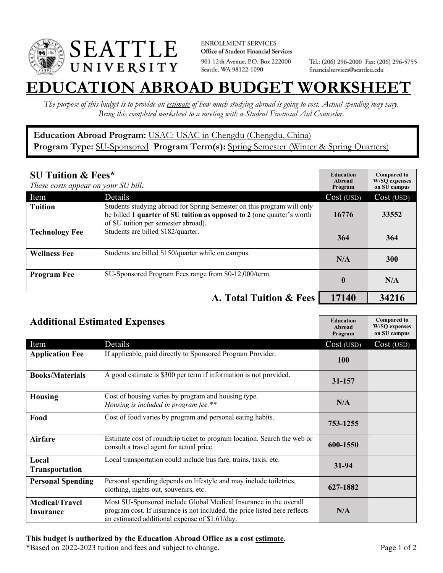

**ENROLLMENT SERVICES** Office of Student Financial Services 901 12th Avenue, P.O. Box 222000 Seattle, WA 98122-1090

Tel.: (206) 296-2000 Fax: (206) 296-5755 financialservices@seattleu.edu

## **EATION ABROAD BUDGET WORKSHEE**

*The purpose of this budget is to provide an estimate of how much studying abroad is going to cost. Actual spending may vary. Bring this completed worksheet to a meeting with a Student Financial Aid Counselor.* 

## **Education Abroad Program:** USAC: USAC in Chengdu (Chengdu, China) Program Type: **SU-Sponsored** Program Term(s): **Spring Semester** (Winter & Spring Quarters)

| <b>SU Tuition &amp; Fees*</b><br>These costs appear on your SU bill. |                                                                                                                                                                                         | <b>Education</b><br>Abroad<br>Program | <b>Compared to</b><br><b>W/SO</b> expenses<br>on SU campus |
|----------------------------------------------------------------------|-----------------------------------------------------------------------------------------------------------------------------------------------------------------------------------------|---------------------------------------|------------------------------------------------------------|
| Item                                                                 | Details                                                                                                                                                                                 | Cost (USD)                            | Cost (USD)                                                 |
| <b>Tuition</b>                                                       | Students studying abroad for Spring Semester on this program will only<br>be billed 1 quarter of SU tuition as opposed to 2 (one quarter's worth<br>of SU tuition per semester abroad). | 16776                                 | 33552                                                      |
| <b>Technology Fee</b>                                                | Students are billed \$182/quarter.                                                                                                                                                      | 364                                   | 364                                                        |
| <b>Wellness Fee</b>                                                  | Students are billed \$150/quarter while on campus.                                                                                                                                      | N/A                                   | 300                                                        |
| <b>Program Fee</b>                                                   | SU-Sponsored Program Fees range from \$0-12,000/term.                                                                                                                                   | $\mathbf{0}$                          | N/A                                                        |
|                                                                      | A. Total Tuition & Fees                                                                                                                                                                 | 17140                                 | 34216                                                      |

| <b>Additional Estimated Expenses</b> |                                                                                                                                                                                                   | <b>Education</b><br><b>Abroad</b><br>Program | <b>Compared to</b><br><b>W/SQ</b> expenses<br>on SU campus |
|--------------------------------------|---------------------------------------------------------------------------------------------------------------------------------------------------------------------------------------------------|----------------------------------------------|------------------------------------------------------------|
| Item                                 | Details                                                                                                                                                                                           | Cost (USD)                                   | Cost (USD)                                                 |
| <b>Application Fee</b>               | If applicable, paid directly to Sponsored Program Provider.                                                                                                                                       | <b>100</b>                                   |                                                            |
| <b>Books/Materials</b>               | A good estimate is \$300 per term if information is not provided.                                                                                                                                 | 31-157                                       |                                                            |
| <b>Housing</b>                       | Cost of housing varies by program and housing type.<br>Housing is included in program fee.**                                                                                                      | N/A                                          |                                                            |
| Food                                 | Cost of food varies by program and personal eating habits.                                                                                                                                        | 753-1255                                     |                                                            |
| Airfare                              | Estimate cost of roundtrip ticket to program location. Search the web or<br>consult a travel agent for actual price.                                                                              | 600-1550                                     |                                                            |
| Local<br><b>Transportation</b>       | Local transportation could include bus fare, trains, taxis, etc.                                                                                                                                  | 31-94                                        |                                                            |
| <b>Personal Spending</b>             | Personal spending depends on lifestyle and may include toiletries,<br>clothing, nights out, souvenirs, etc.                                                                                       | 627-1882                                     |                                                            |
| <b>Medical/Travel</b><br>Insurance   | Most SU-Sponsored include Global Medical Insurance in the overall<br>program cost. If insurance is not included, the price listed here reflects<br>an estimated additional expense of \$1.61/day. | N/A                                          |                                                            |

## **This budget is authorized by the Education Abroad Office as a cost estimate.**

\*Based on 2022-2023 tuition and fees and subject to change. Page 1 of 2